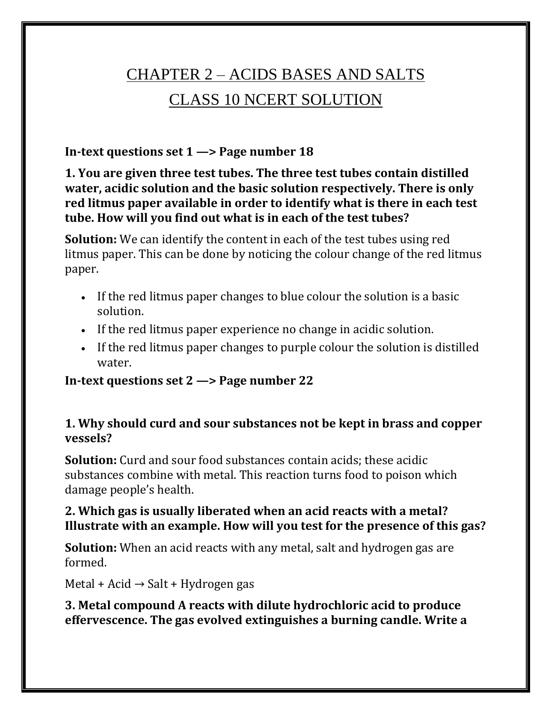# CHAPTER 2 – ACIDS BASES AND SALTS CLASS 10 NCERT SOLUTION

### **In-text questions set 1 —> Page number 18**

**1. You are given three test tubes. The three test tubes contain distilled water, acidic solution and the basic solution respectively. There is only red litmus paper available in order to identify what is there in each test tube. How will you find out what is in each of the test tubes?**

**Solution:** We can identify the content in each of the test tubes using red litmus paper. This can be done by noticing the colour change of the red litmus paper.

- If the red litmus paper changes to blue colour the solution is a basic solution.
- If the red litmus paper experience no change in acidic solution.
- If the red litmus paper changes to purple colour the solution is distilled water.

#### **In-text questions set 2 —> Page number 22**

### **1. Why should curd and sour substances not be kept in brass and copper vessels?**

**Solution:** Curd and sour food substances contain acids; these acidic substances combine with metal. This reaction turns food to poison which damage people's health.

### **2. Which gas is usually liberated when an acid reacts with a metal? Illustrate with an example. How will you test for the presence of this gas?**

**Solution:** When an acid reacts with any metal, salt and hydrogen gas are formed.

Metal + Acid  $\rightarrow$  Salt + Hydrogen gas

#### **3. Metal compound A reacts with dilute hydrochloric acid to produce effervescence. The gas evolved extinguishes a burning candle. Write a**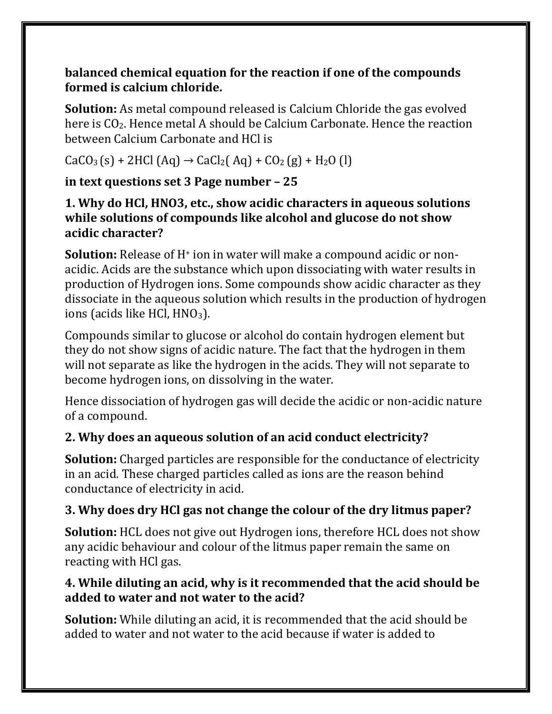### **balanced chemical equation for the reaction if one of the compounds formed is calcium chloride.**

**Solution:** As metal compound released is Calcium Chloride the gas evolved here is CO2. Hence metal A should be Calcium Carbonate. Hence the reaction between Calcium Carbonate and HCl is

 $CaCO<sub>3</sub>(s) + 2HCl (Aq) \rightarrow CaCl<sub>2</sub>(Aq) + CO<sub>2</sub>(g) + H<sub>2</sub>O (l)$ 

### **in text questions set 3 Page number – 25**

### **1. Why do HCl, HNO3, etc., show acidic characters in aqueous solutions while solutions of compounds like alcohol and glucose do not show acidic character?**

**Solution:** Release of H<sup>+</sup> ion in water will make a compound acidic or nonacidic. Acids are the substance which upon dissociating with water results in production of Hydrogen ions. Some compounds show acidic character as they dissociate in the aqueous solution which results in the production of hydrogen ions (acids like HCl,  $HNO<sub>3</sub>$ ).

Compounds similar to glucose or alcohol do contain hydrogen element but they do not show signs of acidic nature. The fact that the hydrogen in them will not separate as like the hydrogen in the acids. They will not separate to become hydrogen ions, on dissolving in the water.

Hence dissociation of hydrogen gas will decide the acidic or non-acidic nature of a compound.

# **2. Why does an aqueous solution of an acid conduct electricity?**

**Solution:** Charged particles are responsible for the conductance of electricity in an acid. These charged particles called as ions are the reason behind conductance of electricity in acid.

# **3. Why does dry HCl gas not change the colour of the dry litmus paper?**

**Solution:** HCL does not give out Hydrogen ions, therefore HCL does not show any acidic behaviour and colour of the litmus paper remain the same on reacting with HCl gas.

### **4. While diluting an acid, why is it recommended that the acid should be added to water and not water to the acid?**

**Solution:** While diluting an acid, it is recommended that the acid should be added to water and not water to the acid because if water is added to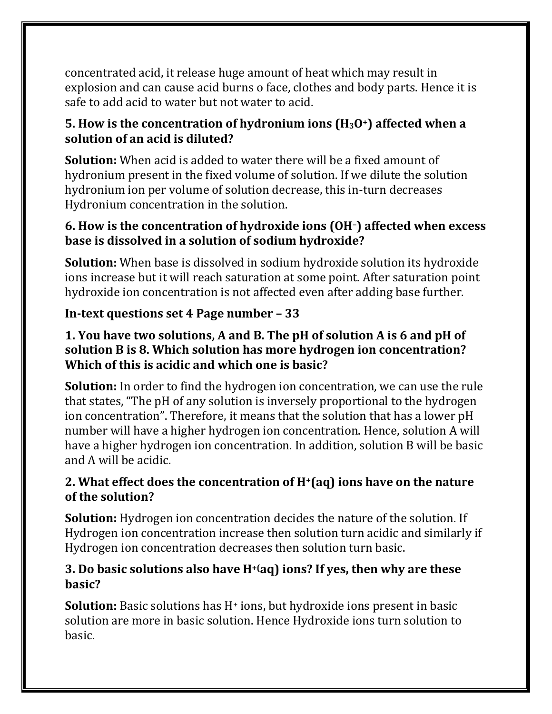concentrated acid, it release huge amount of heat which may result in explosion and can cause acid burns o face, clothes and body parts. Hence it is safe to add acid to water but not water to acid.

### **5. How is the concentration of hydronium ions (H3O+) affected when a solution of an acid is diluted?**

**Solution:** When acid is added to water there will be a fixed amount of hydronium present in the fixed volume of solution. If we dilute the solution hydronium ion per volume of solution decrease, this in-turn decreases Hydronium concentration in the solution.

### **6. How is the concentration of hydroxide ions (OH–) affected when excess base is dissolved in a solution of sodium hydroxide?**

**Solution:** When base is dissolved in sodium hydroxide solution its hydroxide ions increase but it will reach saturation at some point. After saturation point hydroxide ion concentration is not affected even after adding base further.

### **In-text questions set 4 Page number – 33**

### **1. You have two solutions, A and B. The pH of solution A is 6 and pH of solution B is 8. Which solution has more hydrogen ion concentration? Which of this is acidic and which one is basic?**

**Solution:** In order to find the hydrogen ion concentration, we can use the rule that states, "The pH of any solution is inversely proportional to the hydrogen ion concentration". Therefore, it means that the solution that has a lower pH number will have a higher hydrogen ion concentration. Hence, solution A will have a higher hydrogen ion concentration. In addition, solution B will be basic and A will be acidic.

### **2. What effect does the concentration of H+(aq) ions have on the nature of the solution?**

**Solution:** Hydrogen ion concentration decides the nature of the solution. If Hydrogen ion concentration increase then solution turn acidic and similarly if Hydrogen ion concentration decreases then solution turn basic.

### **3. Do basic solutions also have H+(aq) ions? If yes, then why are these basic?**

**Solution:** Basic solutions has H<sup>+</sup> ions, but hydroxide ions present in basic solution are more in basic solution. Hence Hydroxide ions turn solution to basic.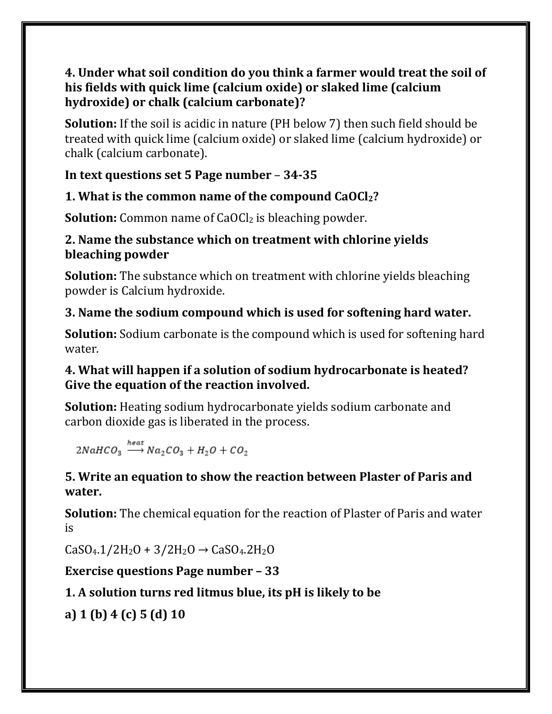### **4. Under what soil condition do you think a farmer would treat the soil of his fields with quick lime (calcium oxide) or slaked lime (calcium hydroxide) or chalk (calcium carbonate)?**

**Solution:** If the soil is acidic in nature (PH below 7) then such field should be treated with quick lime (calcium oxide) or slaked lime (calcium hydroxide) or chalk (calcium carbonate).

### **In text questions set 5 Page number** – **34-35**

### **1. What is the common name of the compound CaOCl2?**

**Solution:** Common name of CaOCl<sub>2</sub> is bleaching powder.

### **2. Name the substance which on treatment with chlorine yields bleaching powder**

**Solution:** The substance which on treatment with chlorine yields bleaching powder is Calcium hydroxide.

# **3. Name the sodium compound which is used for softening hard water.**

**Solution:** Sodium carbonate is the compound which is used for softening hard water.

### **4. What will happen if a solution of sodium hydrocarbonate is heated? Give the equation of the reaction involved.**

**Solution:** Heating sodium hydrocarbonate yields sodium carbonate and carbon dioxide gas is liberated in the process.

$$
2NaHCO_3 \stackrel{heat}{\longrightarrow} Na_2CO_3 + H_2O + CO_2
$$

### **5. Write an equation to show the reaction between Plaster of Paris and water.**

**Solution:** The chemical equation for the reaction of Plaster of Paris and water is

 $CaSO<sub>4</sub>.1/2H<sub>2</sub>O + 3/2H<sub>2</sub>O \rightarrow CaSO<sub>4</sub>.2H<sub>2</sub>O$ 

# **Exercise questions Page number – 33**

# **1. A solution turns red litmus blue, its pH is likely to be**

**a) 1 (b) 4 (c) 5 (d) 10**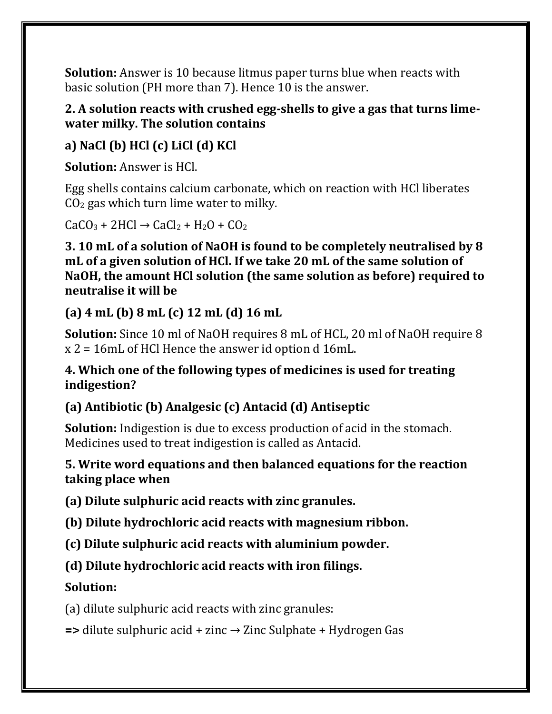**Solution:** Answer is 10 because litmus paper turns blue when reacts with basic solution (PH more than 7). Hence 10 is the answer.

### **2. A solution reacts with crushed egg-shells to give a gas that turns limewater milky. The solution contains**

# **a) NaCl (b) HCl (c) LiCl (d) KCl**

**Solution:** Answer is HCl.

Egg shells contains calcium carbonate, which on reaction with HCl liberates  $CO<sub>2</sub>$  gas which turn lime water to milky.

 $CaCO<sub>3</sub> + 2HCl \rightarrow CaCl<sub>2</sub> + H<sub>2</sub>O + CO<sub>2</sub>$ 

**3. 10 mL of a solution of NaOH is found to be completely neutralised by 8 mL of a given solution of HCl. If we take 20 mL of the same solution of NaOH, the amount HCl solution (the same solution as before) required to neutralise it will be**

### **(a) 4 mL (b) 8 mL (c) 12 mL (d) 16 mL**

**Solution:** Since 10 ml of NaOH requires 8 mL of HCL, 20 ml of NaOH require 8 x 2 = 16mL of HCl Hence the answer id option d 16mL.

### **4. Which one of the following types of medicines is used for treating indigestion?**

# **(a) Antibiotic (b) Analgesic (c) Antacid (d) Antiseptic**

**Solution:** Indigestion is due to excess production of acid in the stomach. Medicines used to treat indigestion is called as Antacid.

### **5. Write word equations and then balanced equations for the reaction taking place when**

**(a) Dilute sulphuric acid reacts with zinc granules.**

**(b) Dilute hydrochloric acid reacts with magnesium ribbon.**

**(c) Dilute sulphuric acid reacts with aluminium powder.**

# **(d) Dilute hydrochloric acid reacts with iron filings.**

# **Solution:**

(a) dilute sulphuric acid reacts with zinc granules:

**=>** dilute sulphuric acid + zinc → Zinc Sulphate + Hydrogen Gas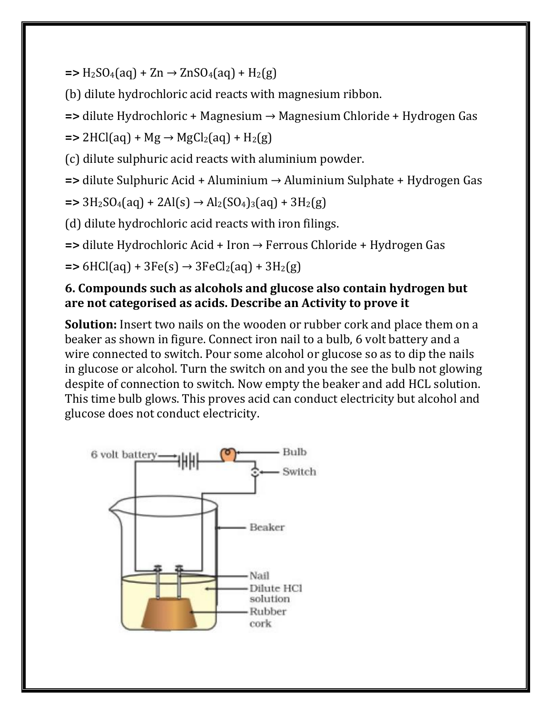$=$ **>** H<sub>2</sub>SO<sub>4</sub>(aq) + Zn  $\rightarrow$  ZnSO<sub>4</sub>(aq) + H<sub>2</sub>(g)

(b) dilute hydrochloric acid reacts with magnesium ribbon.

**=>** dilute Hydrochloric + Magnesium → Magnesium Chloride + Hydrogen Gas

 $\Rightarrow$  2HCl(aq) + Mg  $\rightarrow$  MgCl<sub>2</sub>(aq) + H<sub>2</sub>(g)

(c) dilute sulphuric acid reacts with aluminium powder.

**=>** dilute Sulphuric Acid + Aluminium → Aluminium Sulphate + Hydrogen Gas

 $\Rightarrow$  3H<sub>2</sub>SO<sub>4</sub>(aq) + 2Al(s)  $\rightarrow$  Al<sub>2</sub>(SO<sub>4</sub>)<sub>3</sub>(aq) + 3H<sub>2</sub>(g)

(d) dilute hydrochloric acid reacts with iron filings.

**=>** dilute Hydrochloric Acid + Iron → Ferrous Chloride + Hydrogen Gas

 $\Rightarrow$  6HCl(aq) + 3Fe(s)  $\rightarrow$  3FeCl<sub>2</sub>(aq) + 3H<sub>2</sub>(g)

#### **6. Compounds such as alcohols and glucose also contain hydrogen but are not categorised as acids. Describe an Activity to prove it**

**Solution:** Insert two nails on the wooden or rubber cork and place them on a beaker as shown in figure. Connect iron nail to a bulb, 6 volt battery and a wire connected to switch. Pour some alcohol or glucose so as to dip the nails in glucose or alcohol. Turn the switch on and you the see the bulb not glowing despite of connection to switch. Now empty the beaker and add HCL solution. This time bulb glows. This proves acid can conduct electricity but alcohol and glucose does not conduct electricity.

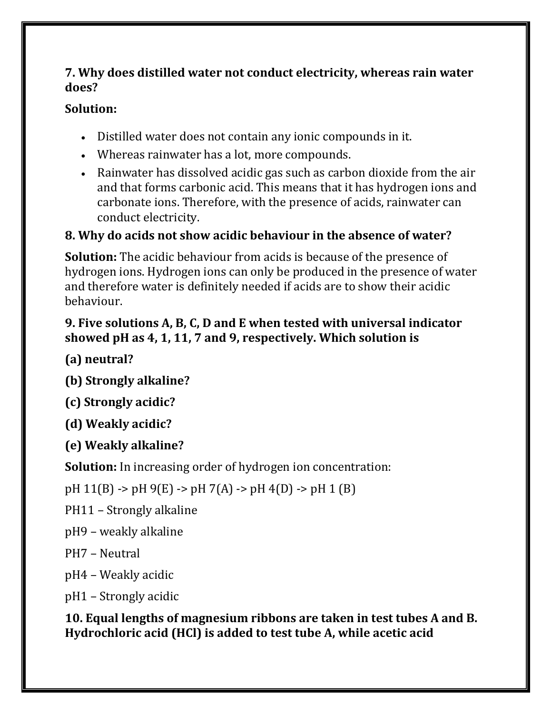### **7. Why does distilled water not conduct electricity, whereas rain water does?**

### **Solution:**

- Distilled water does not contain any ionic compounds in it.
- Whereas rainwater has a lot, more compounds.
- Rainwater has dissolved acidic gas such as carbon dioxide from the air and that forms carbonic acid. This means that it has hydrogen ions and carbonate ions. Therefore, with the presence of acids, rainwater can conduct electricity.

# **8. Why do acids not show acidic behaviour in the absence of water?**

**Solution:** The acidic behaviour from acids is because of the presence of hydrogen ions. Hydrogen ions can only be produced in the presence of water and therefore water is definitely needed if acids are to show their acidic behaviour.

### **9. Five solutions A, B, C, D and E when tested with universal indicator showed pH as 4, 1, 11, 7 and 9, respectively. Which solution is**

**(a) neutral?**

**(b) Strongly alkaline?**

**(c) Strongly acidic?**

**(d) Weakly acidic?**

**(e) Weakly alkaline?**

**Solution:** In increasing order of hydrogen ion concentration:

pH 11(B) -> pH 9(E) -> pH 7(A) -> pH 4(D) -> pH 1 (B)

PH11 – Strongly alkaline

pH9 – weakly alkaline

PH7 – Neutral

pH4 – Weakly acidic

pH1 – Strongly acidic

**10. Equal lengths of magnesium ribbons are taken in test tubes A and B. Hydrochloric acid (HCl) is added to test tube A, while acetic acid**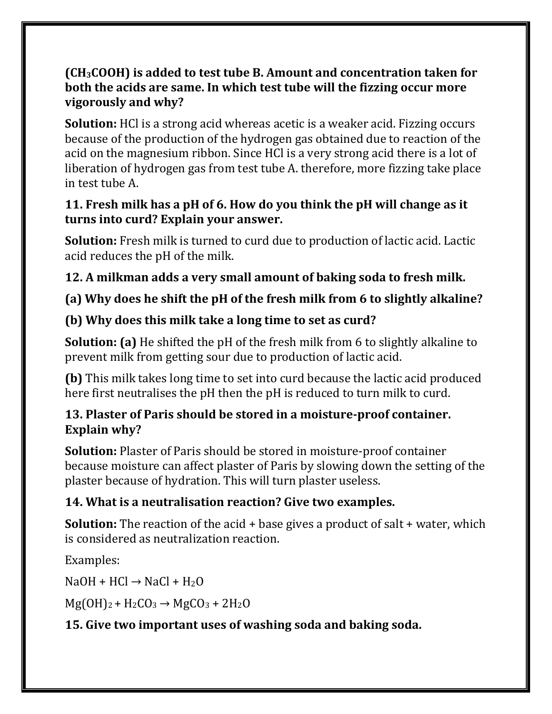### **(CH3COOH) is added to test tube B. Amount and concentration taken for both the acids are same. In which test tube will the fizzing occur more vigorously and why?**

**Solution:** HCl is a strong acid whereas acetic is a weaker acid. Fizzing occurs because of the production of the hydrogen gas obtained due to reaction of the acid on the magnesium ribbon. Since HCl is a very strong acid there is a lot of liberation of hydrogen gas from test tube A. therefore, more fizzing take place in test tube A.

### **11. Fresh milk has a pH of 6. How do you think the pH will change as it turns into curd? Explain your answer.**

**Solution:** Fresh milk is turned to curd due to production of lactic acid. Lactic acid reduces the pH of the milk.

# **12. A milkman adds a very small amount of baking soda to fresh milk.**

# **(a) Why does he shift the pH of the fresh milk from 6 to slightly alkaline?**

# **(b) Why does this milk take a long time to set as curd?**

**Solution: (a)** He shifted the pH of the fresh milk from 6 to slightly alkaline to prevent milk from getting sour due to production of lactic acid.

**(b)** This milk takes long time to set into curd because the lactic acid produced here first neutralises the pH then the pH is reduced to turn milk to curd.

# **13. Plaster of Paris should be stored in a moisture-proof container. Explain why?**

**Solution:** Plaster of Paris should be stored in moisture-proof container because moisture can affect plaster of Paris by slowing down the setting of the plaster because of hydration. This will turn plaster useless.

# **14. What is a neutralisation reaction? Give two examples.**

**Solution:** The reaction of the acid + base gives a product of salt + water, which is considered as neutralization reaction.

Examples:

 $NaOH + HCl \rightarrow NaCl + H<sub>2</sub>O$ 

 $Mg(OH)<sub>2</sub> + H<sub>2</sub>CO<sub>3</sub> \rightarrow MgCO<sub>3</sub> + 2H<sub>2</sub>O$ 

# **15. Give two important uses of washing soda and baking soda.**